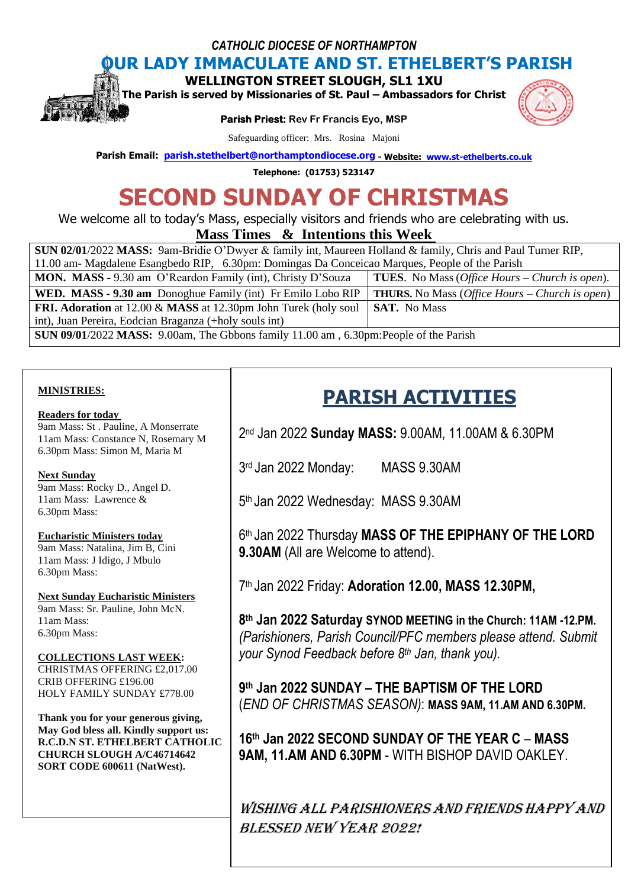*CATHOLIC DIOCESE OF NORTHAMPTON*

# **OUR LADY IMMACULATE AND ST. ETHELBERT'S PARISH**

**WELLINGTON STREET SLOUGH, SL1 1XU** 

**The Parish is served by Missionaries of St. Paul – Ambassadors for Christ** 

**Parish Priest: Rev Fr Francis Eyo, MSP** 



Safeguarding officer: Mrs. Rosina Majoni

**Parish Email: [parish.stethelbert@northamptondiocese.org](mailto:parish.stethelbert@northamptondiocese.org) - Website: [www.st-ethelberts.co.uk](http://www.st-ethelberts.co.uk/)**

**Telephone: (01753) 523147**

# **SECOND SUNDAY OF CHRISTMAS**

We welcome all to today's Mass, especially visitors and friends who are celebrating with us.

# **Mass Times & Intentions this Week**

| SUN 02/01/2022 MASS: 9am-Bridie O'Dwyer & family int, Maureen Holland & family, Chris and Paul Turner RIP, |                                                                |
|------------------------------------------------------------------------------------------------------------|----------------------------------------------------------------|
| 11.00 am- Magdalene Esangbedo RIP, 6.30pm: Domingas Da Conceicao Marques, People of the Parish             |                                                                |
| <b>MON. MASS</b> - 9.30 am O'Reardon Family (int), Christy D'Souza                                         | <b>TUES.</b> No Mass ( <i>Office Hours – Church is open</i> ). |
| <b>WED. MASS - 9.30 am</b> Donoghue Family (int) Fr Emilo Lobo RIP                                         | <b>THURS.</b> No Mass ( <i>Office Hours – Church is open</i> ) |
| FRI. Adoration at 12.00 & MASS at 12.30pm John Turek (holy soul                                            | <b>SAT.</b> No Mass                                            |
| int), Juan Pereira, Eodcian Braganza (+holy souls int)                                                     |                                                                |
| <b>SUN 09/01/2022 MASS:</b> 9.00am, The Gbbons family 11.00 am, 6.30pm: People of the Parish               |                                                                |

## **MINISTRIES:**

## **Readers for today**

9am Mass: St . Pauline, A Monserrate 11am Mass: Constance N, Rosemary M 6.30pm Mass: Simon M, Maria M

## **Next Sunday**

9am Mass: Rocky D., Angel D. 11am Mass: Lawrence & 6.30pm Mass:

## **Eucharistic Ministers today**

9am Mass: Natalina, Jim B, Cini 11am Mass: J Idigo, J Mbulo 6.30pm Mass:

**Next Sunday Eucharistic Ministers** 9am Mass: Sr. Pauline, John McN. 11am Mass: 6.30pm Mass:

# **COLLECTIONS LAST WEEK:**

CHRISTMAS OFFERING £2,017.00 CRIB OFFERING £196.00 HOLY FAMILY SUNDAY £778.00

**Thank you for your generous giving, May God bless all. Kindly support us: R.C.D.N ST. ETHELBERT CATHOLIC CHURCH SLOUGH A/C46714642 SORT CODE 600611 (NatWest).**

# **PARISH ACTIVITIES**

2 nd Jan 2022 **Sunday MASS:** 9.00AM, 11.00AM & 6.30PM

3 rd Jan 2022 Monday: MASS 9.30AM

5 th Jan 2022 Wednesday: MASS 9.30AM

6 th Jan 2022 Thursday **MASS OF THE EPIPHANY OF THE LORD 9.30AM** (All are Welcome to attend).

7 th Jan 2022 Friday: **Adoration 12.00, MASS 12.30PM,**

**8 th Jan 2022 Saturday SYNOD MEETING in the Church: 11AM -12.PM.** *(Parishioners, Parish Council/PFC members please attend. Submit your Synod Feedback before 8th Jan, thank you).*

**9 th Jan 2022 SUNDAY – THE BAPTISM OF THE LORD** (*END OF CHRISTMAS SEASON)*: **MASS 9AM, 11.AM AND 6.30PM.**

**16th Jan 2022 SECOND SUNDAY OF THE YEAR C** – **MASS 9AM, 11.AM AND 6.30PM** - WITH BISHOP DAVID OAKLEY.

WISHING ALL PARISHIONERS AND FRIENDS HAPPY AND BLESSED NEW YEAR 2022!